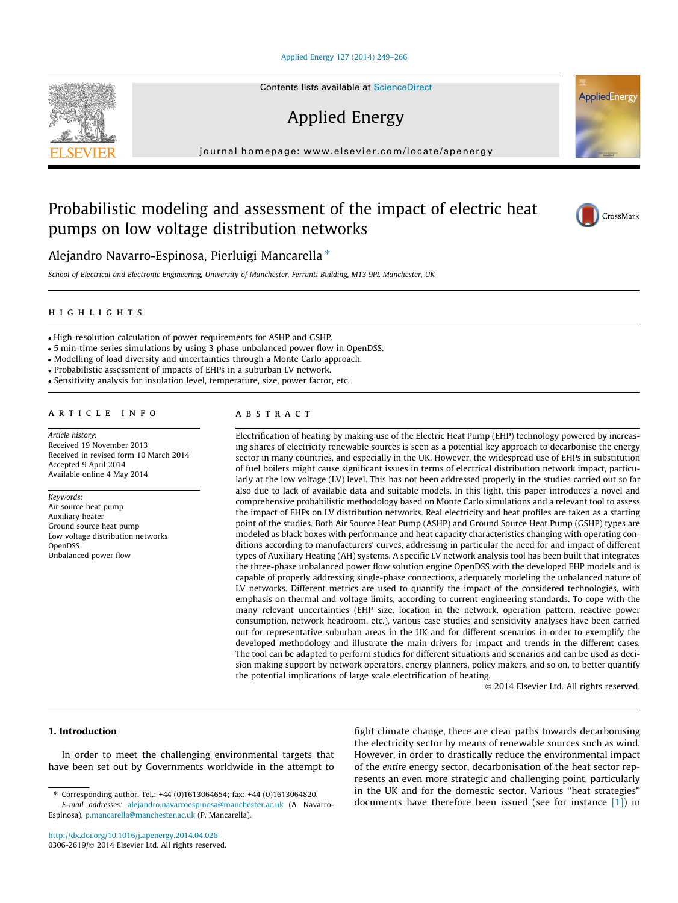#### [Applied Energy 127 \(2014\) 249–266](http://dx.doi.org/10.1016/j.apenergy.2014.04.026)



Applied Energy

journal homepage: [www.elsevier.com/locate/apenergy](http://www.elsevier.com/locate/apenergy)

# Probabilistic modeling and assessment of the impact of electric heat pumps on low voltage distribution networks



AppliedEnergy

Alejandro Navarro-Espinosa, Pierluigi Mancarella \*

School of Electrical and Electronic Engineering, University of Manchester, Ferranti Building, M13 9PL Manchester, UK

### highlights

- High-resolution calculation of power requirements for ASHP and GSHP.

- 5 min-time series simulations by using 3 phase unbalanced power flow in OpenDSS.

- Modelling of load diversity and uncertainties through a Monte Carlo approach.

- Probabilistic assessment of impacts of EHPs in a suburban LV network.

- Sensitivity analysis for insulation level, temperature, size, power factor, etc.

# article info

Article history: Received 19 November 2013 Received in revised form 10 March 2014 Accepted 9 April 2014 Available online 4 May 2014

Keywords: Air source heat pump Auxiliary heater Ground source heat pump Low voltage distribution networks OpenDSS Unbalanced power flow

# **ABSTRACT**

Electrification of heating by making use of the Electric Heat Pump (EHP) technology powered by increasing shares of electricity renewable sources is seen as a potential key approach to decarbonise the energy sector in many countries, and especially in the UK. However, the widespread use of EHPs in substitution of fuel boilers might cause significant issues in terms of electrical distribution network impact, particularly at the low voltage (LV) level. This has not been addressed properly in the studies carried out so far also due to lack of available data and suitable models. In this light, this paper introduces a novel and comprehensive probabilistic methodology based on Monte Carlo simulations and a relevant tool to assess the impact of EHPs on LV distribution networks. Real electricity and heat profiles are taken as a starting point of the studies. Both Air Source Heat Pump (ASHP) and Ground Source Heat Pump (GSHP) types are modeled as black boxes with performance and heat capacity characteristics changing with operating conditions according to manufacturers' curves, addressing in particular the need for and impact of different types of Auxiliary Heating (AH) systems. A specific LV network analysis tool has been built that integrates the three-phase unbalanced power flow solution engine OpenDSS with the developed EHP models and is capable of properly addressing single-phase connections, adequately modeling the unbalanced nature of LV networks. Different metrics are used to quantify the impact of the considered technologies, with emphasis on thermal and voltage limits, according to current engineering standards. To cope with the many relevant uncertainties (EHP size, location in the network, operation pattern, reactive power consumption, network headroom, etc.), various case studies and sensitivity analyses have been carried out for representative suburban areas in the UK and for different scenarios in order to exemplify the developed methodology and illustrate the main drivers for impact and trends in the different cases. The tool can be adapted to perform studies for different situations and scenarios and can be used as decision making support by network operators, energy planners, policy makers, and so on, to better quantify the potential implications of large scale electrification of heating.

- 2014 Elsevier Ltd. All rights reserved.

# 1. Introduction

In order to meet the challenging environmental targets that have been set out by Governments worldwide in the attempt to fight climate change, there are clear paths towards decarbonising the electricity sector by means of renewable sources such as wind. However, in order to drastically reduce the environmental impact of the entire energy sector, decarbonisation of the heat sector represents an even more strategic and challenging point, particularly in the UK and for the domestic sector. Various ''heat strategies'' documents have therefore been issued (see for instance [\[1\]](#page--1-0)) in



Corresponding author. Tel.: +44 (0)1613064654; fax: +44 (0)1613064820.

E-mail addresses: [alejandro.navarroespinosa@manchester.ac.uk](mailto:alejandro.navarroespinosa@manchester.ac.uk) (A. Navarro-Espinosa), [p.mancarella@manchester.ac.uk](mailto:p.mancarella@manchester.ac.uk) (P. Mancarella).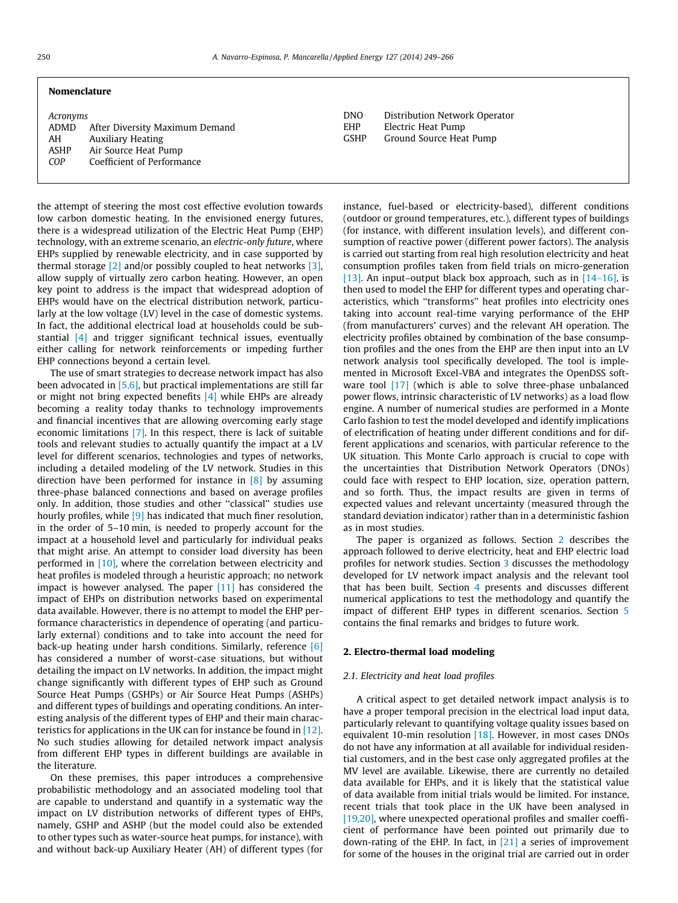#### Nomenclature

the attempt of steering the most cost effective evolution towards low carbon domestic heating. In the envisioned energy futures, there is a widespread utilization of the Electric Heat Pump (EHP) technology, with an extreme scenario, an electric-only future, where EHPs supplied by renewable electricity, and in case supported by thermal storage  $[2]$  and/or possibly coupled to heat networks  $[3]$ , allow supply of virtually zero carbon heating. However, an open key point to address is the impact that widespread adoption of EHPs would have on the electrical distribution network, particularly at the low voltage (LV) level in the case of domestic systems. In fact, the additional electrical load at households could be substantial [\[4\]](#page--1-0) and trigger significant technical issues, eventually either calling for network reinforcements or impeding further EHP connections beyond a certain level.

The use of smart strategies to decrease network impact has also been advocated in  $[5,6]$ , but practical implementations are still far or might not bring expected benefits  $[4]$  while EHPs are already becoming a reality today thanks to technology improvements and financial incentives that are allowing overcoming early stage economic limitations [\[7\]](#page--1-0). In this respect, there is lack of suitable tools and relevant studies to actually quantify the impact at a LV level for different scenarios, technologies and types of networks, including a detailed modeling of the LV network. Studies in this direction have been performed for instance in  $[8]$  by assuming three-phase balanced connections and based on average profiles only. In addition, those studies and other ''classical'' studies use hourly profiles, while [\[9\]](#page--1-0) has indicated that much finer resolution, in the order of 5–10 min, is needed to properly account for the impact at a household level and particularly for individual peaks that might arise. An attempt to consider load diversity has been performed in [\[10\],](#page--1-0) where the correlation between electricity and heat profiles is modeled through a heuristic approach; no network impact is however analysed. The paper [\[11\]](#page--1-0) has considered the impact of EHPs on distribution networks based on experimental data available. However, there is no attempt to model the EHP performance characteristics in dependence of operating (and particularly external) conditions and to take into account the need for back-up heating under harsh conditions. Similarly, reference  $[6]$ has considered a number of worst-case situations, but without detailing the impact on LV networks. In addition, the impact might change significantly with different types of EHP such as Ground Source Heat Pumps (GSHPs) or Air Source Heat Pumps (ASHPs) and different types of buildings and operating conditions. An interesting analysis of the different types of EHP and their main characteristics for applications in the UK can for instance be found in [\[12\].](#page--1-0) No such studies allowing for detailed network impact analysis from different EHP types in different buildings are available in the literature.

On these premises, this paper introduces a comprehensive probabilistic methodology and an associated modeling tool that are capable to understand and quantify in a systematic way the impact on LV distribution networks of different types of EHPs, namely, GSHP and ASHP (but the model could also be extended to other types such as water-source heat pumps, for instance), with and without back-up Auxiliary Heater (AH) of different types (for instance, fuel-based or electricity-based), different conditions (outdoor or ground temperatures, etc.), different types of buildings (for instance, with different insulation levels), and different consumption of reactive power (different power factors). The analysis is carried out starting from real high resolution electricity and heat consumption profiles taken from field trials on micro-generation [\[13\]](#page--1-0). An input–output black box approach, such as in [\[14–16\],](#page--1-0) is then used to model the EHP for different types and operating characteristics, which ''transforms'' heat profiles into electricity ones taking into account real-time varying performance of the EHP (from manufacturers' curves) and the relevant AH operation. The electricity profiles obtained by combination of the base consumption profiles and the ones from the EHP are then input into an LV network analysis tool specifically developed. The tool is implemented in Microsoft Excel-VBA and integrates the OpenDSS soft-ware tool [\[17\]](#page--1-0) (which is able to solve three-phase unbalanced power flows, intrinsic characteristic of LV networks) as a load flow engine. A number of numerical studies are performed in a Monte Carlo fashion to test the model developed and identify implications of electrification of heating under different conditions and for different applications and scenarios, with particular reference to the UK situation. This Monte Carlo approach is crucial to cope with the uncertainties that Distribution Network Operators (DNOs) could face with respect to EHP location, size, operation pattern, and so forth. Thus, the impact results are given in terms of expected values and relevant uncertainty (measured through the standard deviation indicator) rather than in a deterministic fashion as in most studies.

The paper is organized as follows. Section 2 describes the approach followed to derive electricity, heat and EHP electric load profiles for network studies. Section [3](#page--1-0) discusses the methodology developed for LV network impact analysis and the relevant tool that has been built. Section [4](#page--1-0) presents and discusses different numerical applications to test the methodology and quantify the impact of different EHP types in different scenarios. Section [5](#page--1-0) contains the final remarks and bridges to future work.

## 2. Electro-thermal load modeling

#### 2.1. Electricity and heat load profiles

A critical aspect to get detailed network impact analysis is to have a proper temporal precision in the electrical load input data, particularly relevant to quantifying voltage quality issues based on equivalent 10-min resolution [\[18\]](#page--1-0). However, in most cases DNOs do not have any information at all available for individual residential customers, and in the best case only aggregated profiles at the MV level are available. Likewise, there are currently no detailed data available for EHPs, and it is likely that the statistical value of data available from initial trials would be limited. For instance, recent trials that took place in the UK have been analysed in [\[19,20\]](#page--1-0), where unexpected operational profiles and smaller coefficient of performance have been pointed out primarily due to down-rating of the EHP. In fact, in [\[21\]](#page--1-0) a series of improvement for some of the houses in the original trial are carried out in order